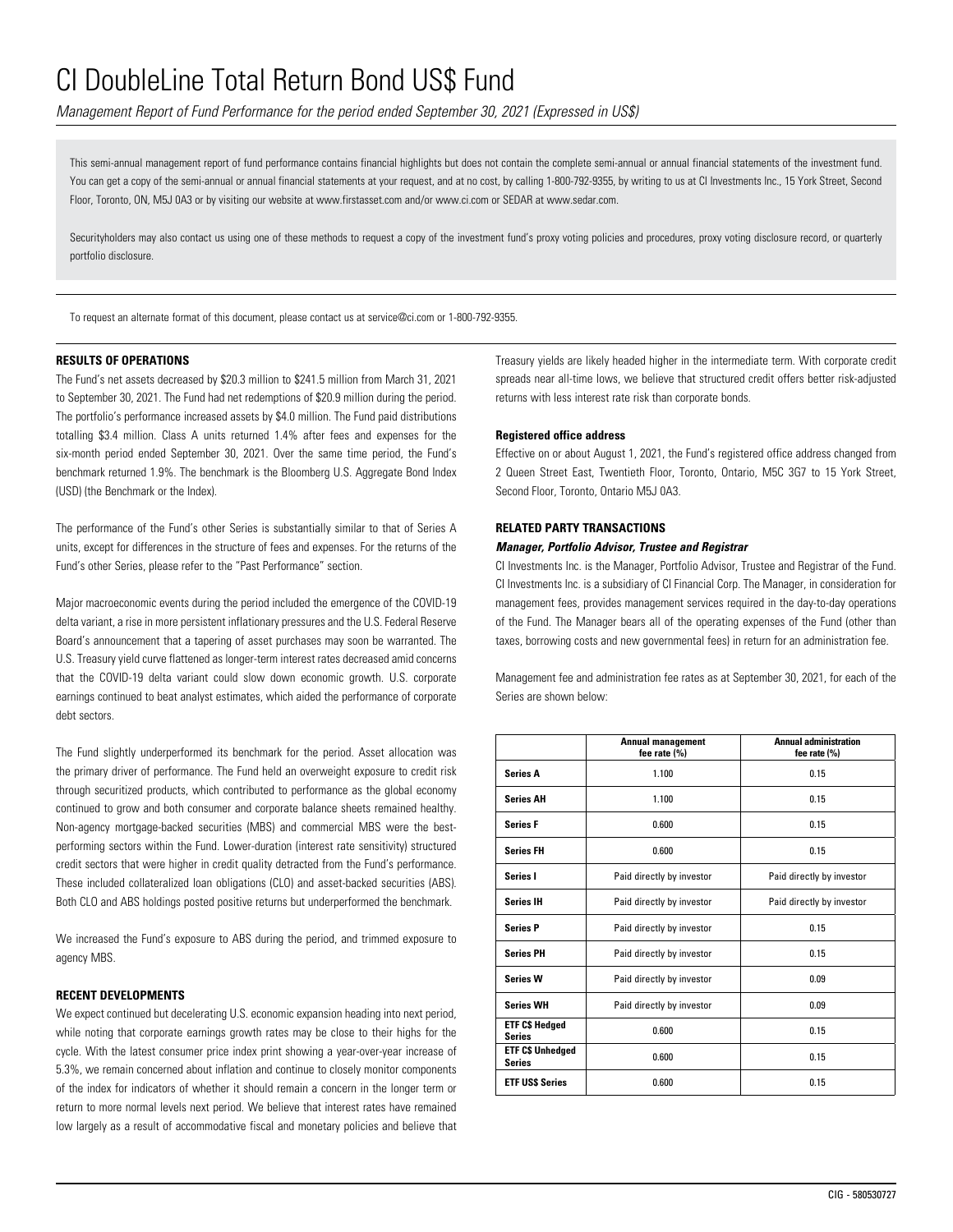*Management Report of Fund Performance for the period ended September 30, 2021 (Expressed in US\$)*

This semi-annual management report of fund performance contains financial highlights but does not contain the complete semi-annual or annual financial statements of the investment fund. You can get a copy of the semi-annual or annual financial statements at your request, and at no cost, by calling 1-800-792-9355, by writing to us at CI Investments Inc., 15 York Street, Second Floor, Toronto, ON, M5J 0A3 or by visiting our website at www.firstasset.com and/or www.ci.com or SEDAR at www.sedar.com.

Securityholders may also contact us using one of these methods to request a copy of the investment fund's proxy voting policies and procedures, proxy voting disclosure record, or quarterly portfolio disclosure.

To request an alternate format of this document, please contact us at service@ci.com or 1-800-792-9355.

### **RESULTS OF OPERATIONS**

The Fund's net assets decreased by \$20.3 million to \$241.5 million from March 31, 2021 to September 30, 2021. The Fund had net redemptions of \$20.9 million during the period. The portfolio's performance increased assets by \$4.0 million. The Fund paid distributions totalling \$3.4 million. Class A units returned 1.4% after fees and expenses for the six-month period ended September 30, 2021. Over the same time period, the Fund's benchmark returned 1.9%. The benchmark is the Bloomberg U.S. Aggregate Bond Index (USD) (the Benchmark or the Index).

The performance of the Fund's other Series is substantially similar to that of Series A units, except for differences in the structure of fees and expenses. For the returns of the Fund's other Series, please refer to the "Past Performance" section.

Major macroeconomic events during the period included the emergence of the COVID-19 delta variant, a rise in more persistent inflationary pressures and the U.S. Federal Reserve Board's announcement that a tapering of asset purchases may soon be warranted. The U.S. Treasury yield curve flattened as longer-term interest rates decreased amid concerns that the COVID-19 delta variant could slow down economic growth. U.S. corporate earnings continued to beat analyst estimates, which aided the performance of corporate debt sectors.

The Fund slightly underperformed its benchmark for the period. Asset allocation was the primary driver of performance. The Fund held an overweight exposure to credit risk through securitized products, which contributed to performance as the global economy continued to grow and both consumer and corporate balance sheets remained healthy. Non-agency mortgage-backed securities (MBS) and commercial MBS were the bestperforming sectors within the Fund. Lower-duration (interest rate sensitivity) structured credit sectors that were higher in credit quality detracted from the Fund's performance. These included collateralized loan obligations (CLO) and asset-backed securities (ABS). Both CLO and ABS holdings posted positive returns but underperformed the benchmark.

We increased the Fund's exposure to ABS during the period, and trimmed exposure to agency MBS.

### **RECENT DEVELOPMENTS**

We expect continued but decelerating U.S. economic expansion heading into next period, while noting that corporate earnings growth rates may be close to their highs for the cycle. With the latest consumer price index print showing a year-over-year increase of 5.3%, we remain concerned about inflation and continue to closely monitor components of the index for indicators of whether it should remain a concern in the longer term or return to more normal levels next period. We believe that interest rates have remained low largely as a result of accommodative fiscal and monetary policies and believe that Treasury yields are likely headed higher in the intermediate term. With corporate credit spreads near all-time lows, we believe that structured credit offers better risk-adjusted returns with less interest rate risk than corporate bonds.

#### **Registered office address**

Effective on or about August 1, 2021, the Fund's registered office address changed from 2 Queen Street East, Twentieth Floor, Toronto, Ontario, M5C 3G7 to 15 York Street, Second Floor, Toronto, Ontario M5J 0A3.

#### **RELATED PARTY TRANSACTIONS**

### *Manager, Portfolio Advisor, Trustee and Registrar*

CI Investments Inc. is the Manager, Portfolio Advisor, Trustee and Registrar of the Fund. CI Investments Inc. is a subsidiary of CI Financial Corp. The Manager, in consideration for management fees, provides management services required in the day-to-day operations of the Fund. The Manager bears all of the operating expenses of the Fund (other than taxes, borrowing costs and new governmental fees) in return for an administration fee.

Management fee and administration fee rates as at September 30, 2021, for each of the Series are shown below:

|                                          | <b>Annual management</b><br>fee rate (%) | <b>Annual administration</b><br>fee rate (%) |
|------------------------------------------|------------------------------------------|----------------------------------------------|
| <b>Series A</b>                          | 1.100                                    | 0.15                                         |
| <b>Series AH</b>                         | 1.100                                    | 0.15                                         |
| <b>Series F</b>                          | 0.600                                    | 0.15                                         |
| <b>Series FH</b>                         | 0.600                                    | 0.15                                         |
| Series I                                 | Paid directly by investor                | Paid directly by investor                    |
| <b>Series IH</b>                         | Paid directly by investor                | Paid directly by investor                    |
| <b>Series P</b>                          | Paid directly by investor                | 0.15                                         |
| <b>Series PH</b>                         | Paid directly by investor                | 0.15                                         |
| <b>Series W</b>                          | Paid directly by investor                | 0.09                                         |
| <b>Series WH</b>                         | Paid directly by investor                | 0.09                                         |
| <b>ETF C\$ Hedged</b><br><b>Series</b>   | 0.600                                    | 0.15                                         |
| <b>ETF C\$ Unhedged</b><br><b>Series</b> | 0.600                                    | 0.15                                         |
| <b>ETF USS Series</b>                    | 0.600                                    | 0.15                                         |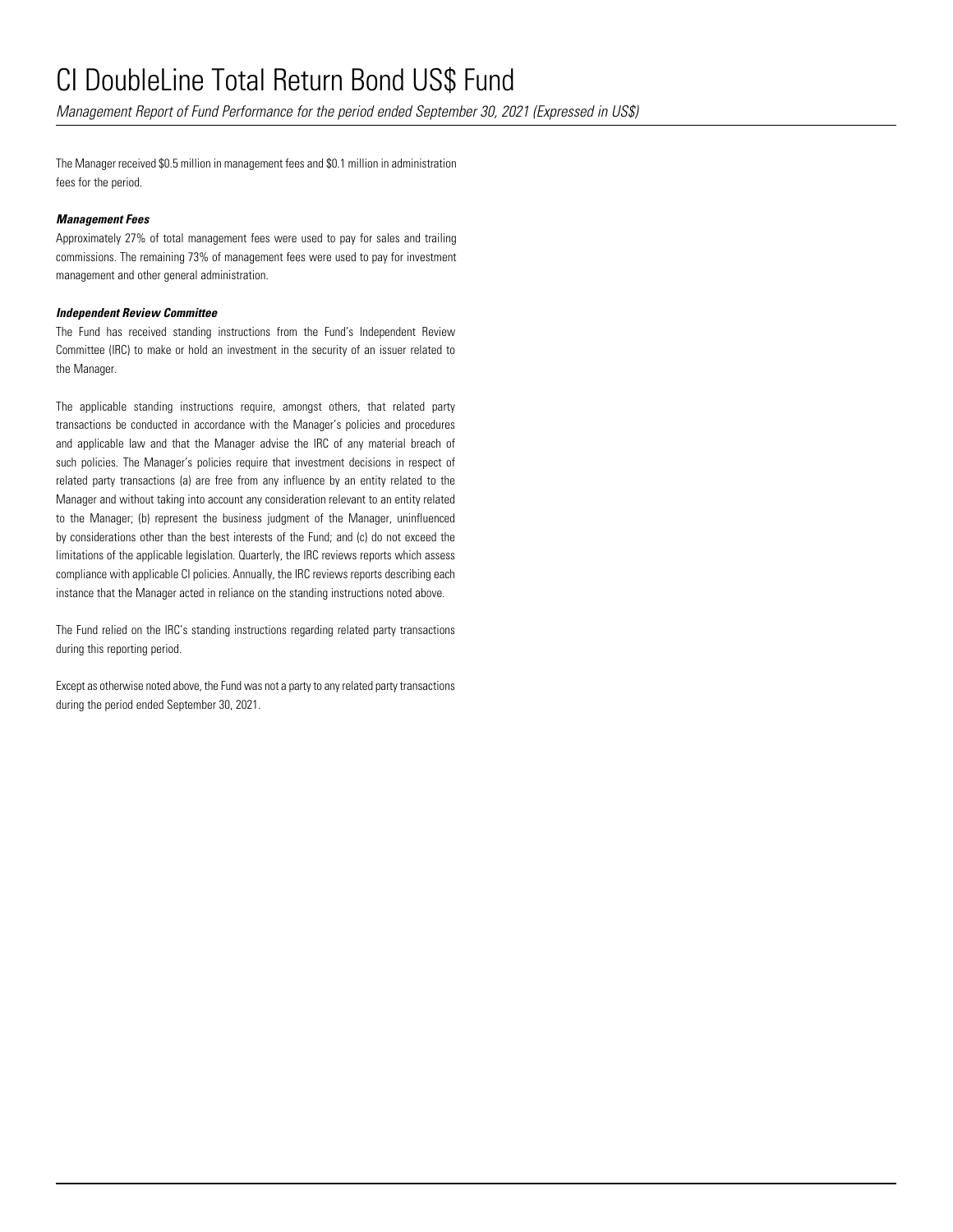*Management Report of Fund Performance for the period ended September 30, 2021 (Expressed in US\$)*

The Manager received \$0.5 million in management fees and \$0.1 million in administration fees for the period.

### *Management Fees*

Approximately 27% of total management fees were used to pay for sales and trailing commissions. The remaining 73% of management fees were used to pay for investment management and other general administration.

### *Independent Review Committee*

The Fund has received standing instructions from the Fund's Independent Review Committee (IRC) to make or hold an investment in the security of an issuer related to the Manager.

The applicable standing instructions require, amongst others, that related party transactions be conducted in accordance with the Manager's policies and procedures and applicable law and that the Manager advise the IRC of any material breach of such policies. The Manager's policies require that investment decisions in respect of related party transactions (a) are free from any influence by an entity related to the Manager and without taking into account any consideration relevant to an entity related to the Manager; (b) represent the business judgment of the Manager, uninfluenced by considerations other than the best interests of the Fund; and (c) do not exceed the limitations of the applicable legislation. Quarterly, the IRC reviews reports which assess compliance with applicable CI policies. Annually, the IRC reviews reports describing each instance that the Manager acted in reliance on the standing instructions noted above.

The Fund relied on the IRC's standing instructions regarding related party transactions during this reporting period.

Except as otherwise noted above, the Fund was not a party to any related party transactions during the period ended September 30, 2021.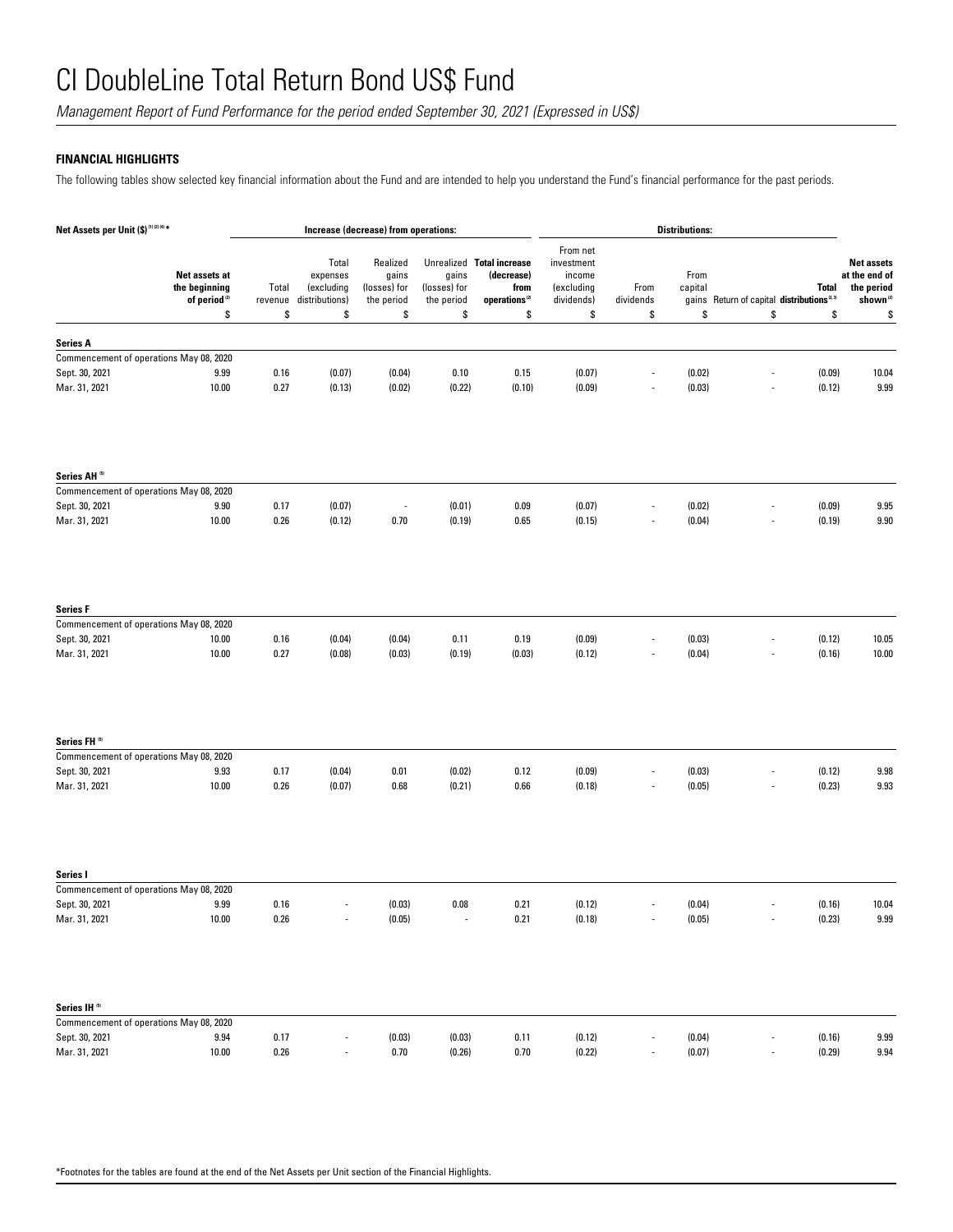*Management Report of Fund Performance for the period ended September 30, 2021 (Expressed in US\$)*

## **FINANCIAL HIGHLIGHTS**

The following tables show selected key financial information about the Fund and are intended to help you understand the Fund's financial performance for the past periods.

| Net Assets per Unit (\$) <sup>(1)(2)(4)*</sup>            | <b>Distributions:</b><br>Increase (decrease) from operations: |                  |                                                   |                                                 |                                     |                                                                              |                                                              |                          |                  |                                                                       |                                                                         |
|-----------------------------------------------------------|---------------------------------------------------------------|------------------|---------------------------------------------------|-------------------------------------------------|-------------------------------------|------------------------------------------------------------------------------|--------------------------------------------------------------|--------------------------|------------------|-----------------------------------------------------------------------|-------------------------------------------------------------------------|
| Net assets at<br>the beginning                            | of period <sup>(2)</sup>                                      | Total<br>revenue | Total<br>expenses<br>(excluding<br>distributions) | Realized<br>gains<br>(losses) for<br>the period | gains<br>(losses) for<br>the period | Unrealized Total increase<br>(decrease)<br>from<br>operations <sup>(2)</sup> | From net<br>investment<br>income<br>(excluding<br>dividends) | From<br>dividends        | From<br>capital  | <b>Total</b><br>gains Return of capital distributions <sup>2.3)</sup> | <b>Net assets</b><br>at the end of<br>the period<br>shown <sup>12</sup> |
|                                                           | \$                                                            | \$               | \$                                                | \$                                              | \$                                  | \$                                                                           | \$                                                           | \$                       | \$               | \$<br>\$                                                              | \$                                                                      |
| <b>Series A</b>                                           |                                                               |                  |                                                   |                                                 |                                     |                                                                              |                                                              |                          |                  |                                                                       |                                                                         |
| Commencement of operations May 08, 2020                   |                                                               |                  |                                                   |                                                 |                                     |                                                                              |                                                              |                          |                  |                                                                       |                                                                         |
| Sept. 30, 2021                                            | 9.99                                                          | 0.16             | (0.07)                                            | (0.04)                                          | 0.10                                | 0.15                                                                         | (0.07)                                                       | $\overline{a}$           | (0.02)           | (0.09)                                                                | 10.04                                                                   |
| Mar. 31, 2021                                             | 10.00                                                         | 0.27             | (0.13)                                            | (0.02)                                          | (0.22)                              | (0.10)                                                                       | (0.09)                                                       |                          | (0.03)           | (0.12)                                                                | 9.99                                                                    |
|                                                           |                                                               |                  |                                                   |                                                 |                                     |                                                                              |                                                              |                          |                  |                                                                       |                                                                         |
| Series AH <sup>(5)</sup>                                  |                                                               |                  |                                                   |                                                 |                                     |                                                                              |                                                              |                          |                  |                                                                       |                                                                         |
| Commencement of operations May 08, 2020<br>Sept. 30, 2021 | 9.90                                                          | 0.17             | (0.07)                                            | $\overline{\phantom{a}}$                        | (0.01)                              | 0.09                                                                         | (0.07)                                                       | $\overline{\phantom{a}}$ | (0.02)           | (0.09)                                                                | 9.95                                                                    |
| Mar. 31, 2021                                             | 10.00                                                         | 0.26             | (0.12)                                            | 0.70                                            | (0.19)                              | 0.65                                                                         | (0.15)                                                       |                          | (0.04)           | (0.19)                                                                | 9.90                                                                    |
| <b>Series F</b>                                           |                                                               |                  |                                                   |                                                 |                                     |                                                                              |                                                              |                          |                  |                                                                       |                                                                         |
| Commencement of operations May 08, 2020                   |                                                               |                  |                                                   |                                                 |                                     |                                                                              | (0.09)                                                       | ä,                       | (0.03)           |                                                                       |                                                                         |
| Sept. 30, 2021<br>Mar. 31, 2021                           | 10.00<br>10.00                                                | 0.16<br>0.27     | (0.04)<br>(0.08)                                  | (0.04)<br>(0.03)                                | 0.11<br>(0.19)                      | 0.19<br>(0.03)                                                               | (0.12)                                                       |                          | (0.04)           | (0.12)<br>(0.16)                                                      | 10.05<br>10.00                                                          |
| Series FH <sup>(5)</sup>                                  |                                                               |                  |                                                   |                                                 |                                     |                                                                              |                                                              |                          |                  |                                                                       |                                                                         |
| Commencement of operations May 08, 2020                   |                                                               |                  |                                                   |                                                 |                                     |                                                                              |                                                              |                          |                  |                                                                       |                                                                         |
| Sept. 30, 2021                                            | 9.93                                                          | 0.17             | (0.04)                                            | 0.01                                            | (0.02)                              | 0.12                                                                         | (0.09)                                                       |                          | (0.03)           | (0.12)                                                                | 9.98                                                                    |
| Mar. 31, 2021                                             | 10.00                                                         | 0.26             | (0.07)                                            | 0.68                                            | (0.21)                              | 0.66                                                                         | (0.18)                                                       |                          | (0.05)           | (0.23)                                                                | 9.93                                                                    |
| Series I                                                  |                                                               |                  |                                                   |                                                 |                                     |                                                                              |                                                              |                          |                  |                                                                       |                                                                         |
| Commencement of operations May 08, 2020                   |                                                               |                  |                                                   |                                                 |                                     |                                                                              |                                                              |                          |                  |                                                                       |                                                                         |
| Sept. 30, 2021<br>Mar. 31, 2021                           | 9.99<br>10.00                                                 | 0.16<br>$0.26\,$ |                                                   | (0.03)<br>(0.05)                                | 0.08<br>$\overline{\phantom{a}}$    | 0.21<br>$0.21\,$                                                             | (0.12)<br>(0.18)                                             |                          | (0.04)<br>(0.05) | (0.16)<br>(0.23)<br>$\overline{\phantom{a}}$                          | 10.04<br>$9.99\,$                                                       |
|                                                           |                                                               |                  |                                                   |                                                 |                                     |                                                                              |                                                              |                          |                  |                                                                       |                                                                         |
| Series IH <sup>5)</sup>                                   |                                                               |                  |                                                   |                                                 |                                     |                                                                              |                                                              |                          |                  |                                                                       |                                                                         |
| Commencement of operations May 08, 2020                   |                                                               |                  |                                                   |                                                 |                                     |                                                                              |                                                              |                          |                  |                                                                       |                                                                         |
| Sept. 30, 2021<br>Mar. 31, 2021                           | 9.94<br>10.00                                                 | 0.17<br>$0.26\,$ |                                                   | (0.03)<br>0.70                                  | (0.03)<br>(0.26)                    | 0.11<br>0.70                                                                 | (0.12)<br>(0.22)                                             |                          | (0.04)<br>(0.07) | (0.16)<br>(0.29)                                                      | 9.99<br>9.94                                                            |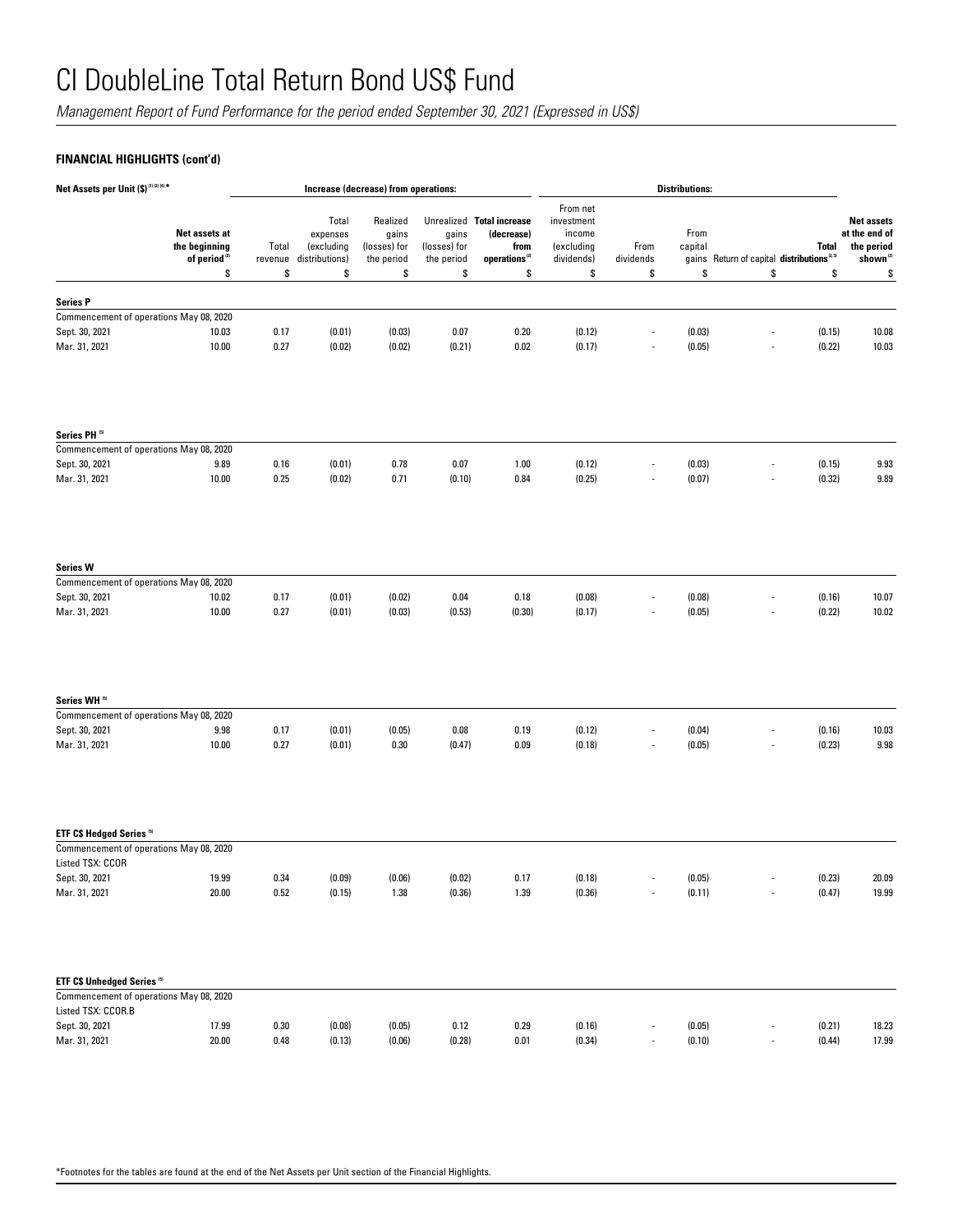*Management Report of Fund Performance for the period ended September 30, 2021 (Expressed in US\$)*

## **FINANCIAL HIGHLIGHTS (cont'd)**

| Net Assets per Unit (\$) <sup>(1)(2)(4)*</sup>                                   |                                                                  |                        | Increase (decrease) from operations:                    |                                                 |                                     | <b>Distributions:</b>                                                        |                                                                    |                         |                       |                                                             |                    |                                                                          |
|----------------------------------------------------------------------------------|------------------------------------------------------------------|------------------------|---------------------------------------------------------|-------------------------------------------------|-------------------------------------|------------------------------------------------------------------------------|--------------------------------------------------------------------|-------------------------|-----------------------|-------------------------------------------------------------|--------------------|--------------------------------------------------------------------------|
|                                                                                  | Net assets at<br>the beginning<br>of period <sup>(2)</sup><br>\$ | Total<br>revenue<br>\$ | Total<br>expenses<br>(excluding<br>distributions)<br>\$ | Realized<br>gains<br>(losses) for<br>the period | gains<br>(losses) for<br>the period | Unrealized Total increase<br>(decrease)<br>from<br>operations <sup>(2)</sup> | From net<br>investment<br>income<br>(excluding<br>dividends)<br>\$ | From<br>dividends<br>\$ | From<br>capital<br>\$ | gains Return of capital distributions <sup>2.3)</sup><br>\$ | <b>Total</b><br>\$ | <b>Net assets</b><br>at the end of<br>the period<br>shown <sup>(2)</sup> |
|                                                                                  |                                                                  |                        |                                                         | \$                                              | \$                                  | \$                                                                           |                                                                    |                         |                       |                                                             |                    | \$                                                                       |
| <b>Series P</b>                                                                  |                                                                  |                        |                                                         |                                                 |                                     |                                                                              |                                                                    |                         |                       |                                                             |                    |                                                                          |
| Commencement of operations May 08, 2020                                          |                                                                  |                        |                                                         |                                                 |                                     |                                                                              |                                                                    |                         |                       |                                                             |                    |                                                                          |
| Sept. 30, 2021                                                                   | 10.03                                                            | 0.17                   | (0.01)                                                  | (0.03)                                          | 0.07                                | 0.20                                                                         | (0.12)                                                             | $\overline{a}$          | (0.03)                |                                                             | (0.15)             | 10.08                                                                    |
| Mar. 31, 2021                                                                    | 10.00                                                            | 0.27                   | (0.02)                                                  | (0.02)                                          | (0.21)                              | 0.02                                                                         | (0.17)                                                             |                         | (0.05)                |                                                             | (0.22)             | 10.03                                                                    |
| Series PH <sup>(5)</sup>                                                         |                                                                  |                        |                                                         |                                                 |                                     |                                                                              |                                                                    |                         |                       |                                                             |                    |                                                                          |
| Commencement of operations May 08, 2020<br>Sept. 30, 2021                        | 9.89                                                             | 0.16                   | (0.01)                                                  | 0.78                                            | 0.07                                | 1.00                                                                         | (0.12)                                                             |                         | (0.03)                |                                                             | (0.15)             | 9.93                                                                     |
| Mar. 31, 2021                                                                    | 10.00                                                            | 0.25                   | (0.02)                                                  | 0.71                                            | (0.10)                              | 0.84                                                                         | (0.25)                                                             |                         | (0.07)                | $\overline{\phantom{a}}$                                    | (0.32)             | 9.89                                                                     |
| <b>Series W</b><br>Commencement of operations May 08, 2020                       |                                                                  |                        |                                                         |                                                 |                                     |                                                                              |                                                                    |                         |                       |                                                             |                    |                                                                          |
| Sept. 30, 2021                                                                   | 10.02                                                            | 0.17                   | (0.01)                                                  | (0.02)                                          | 0.04                                | 0.18                                                                         | (0.08)                                                             |                         | (0.08)                |                                                             | (0.16)             | 10.07                                                                    |
| Mar. 31, 2021                                                                    | 10.00                                                            | 0.27                   | (0.01)                                                  | (0.03)                                          | (0.53)                              | (0.30)                                                                       | (0.17)                                                             |                         | (0.05)                |                                                             | (0.22)             | 10.02                                                                    |
| Series WH <sup>51</sup>                                                          |                                                                  |                        |                                                         |                                                 |                                     |                                                                              |                                                                    |                         |                       |                                                             |                    |                                                                          |
| Commencement of operations May 08, 2020<br>Sept. 30, 2021                        | 9.98                                                             | 0.17                   | (0.01)                                                  | (0.05)                                          | 0.08                                | 0.19                                                                         | (0.12)                                                             |                         | (0.04)                |                                                             | (0.16)             | 10.03                                                                    |
| Mar. 31, 2021                                                                    | 10.00                                                            | 0.27                   | (0.01)                                                  | 0.30                                            | (0.47)                              | 0.09                                                                         | (0.18)                                                             |                         | (0.05)                |                                                             | (0.23)             | 9.98                                                                     |
| ETF C\$ Hedged Series <sup>57</sup>                                              |                                                                  |                        |                                                         |                                                 |                                     |                                                                              |                                                                    |                         |                       |                                                             |                    |                                                                          |
| Commencement of operations May 08, 2020<br>Listed TSX: CCOR                      |                                                                  |                        |                                                         |                                                 |                                     |                                                                              |                                                                    |                         |                       |                                                             |                    |                                                                          |
| Sept. 30, 2021                                                                   | 19.99                                                            | 0.34                   | (0.09)                                                  | (0.06)                                          | (0.02)                              | 0.17                                                                         | (0.18)                                                             |                         | (0.05)                |                                                             | (0.23)             | 20.09                                                                    |
| Mar. 31, 2021                                                                    | 20.00                                                            | 0.52                   | (0.15)                                                  | 1.38                                            | (0.36)                              | 1.39                                                                         | (0.36)                                                             |                         | (0.11)                | $\overline{\phantom{a}}$                                    | (0.47)             | 19.99                                                                    |
| ETF C\$ Unhedged Series <sup>51</sup><br>Commencement of operations May 08, 2020 |                                                                  |                        |                                                         |                                                 |                                     |                                                                              |                                                                    |                         |                       |                                                             |                    |                                                                          |
| Listed TSX: CCOR.B                                                               |                                                                  |                        |                                                         |                                                 |                                     |                                                                              |                                                                    |                         |                       |                                                             |                    |                                                                          |
| Sept. 30, 2021                                                                   | 17.99                                                            | 0.30                   | (0.08)                                                  | (0.05)                                          | 0.12                                | 0.29                                                                         | (0.16)                                                             |                         | (0.05)                |                                                             | (0.21)             | 18.23                                                                    |
| Mar. 31, 2021                                                                    | 20.00                                                            | $0.48\,$               | (0.13)                                                  | (0.06)                                          | (0.28)                              | $0.01\,$                                                                     | (0.34)                                                             |                         | (0.10)                |                                                             | (0.44)             | 17.99                                                                    |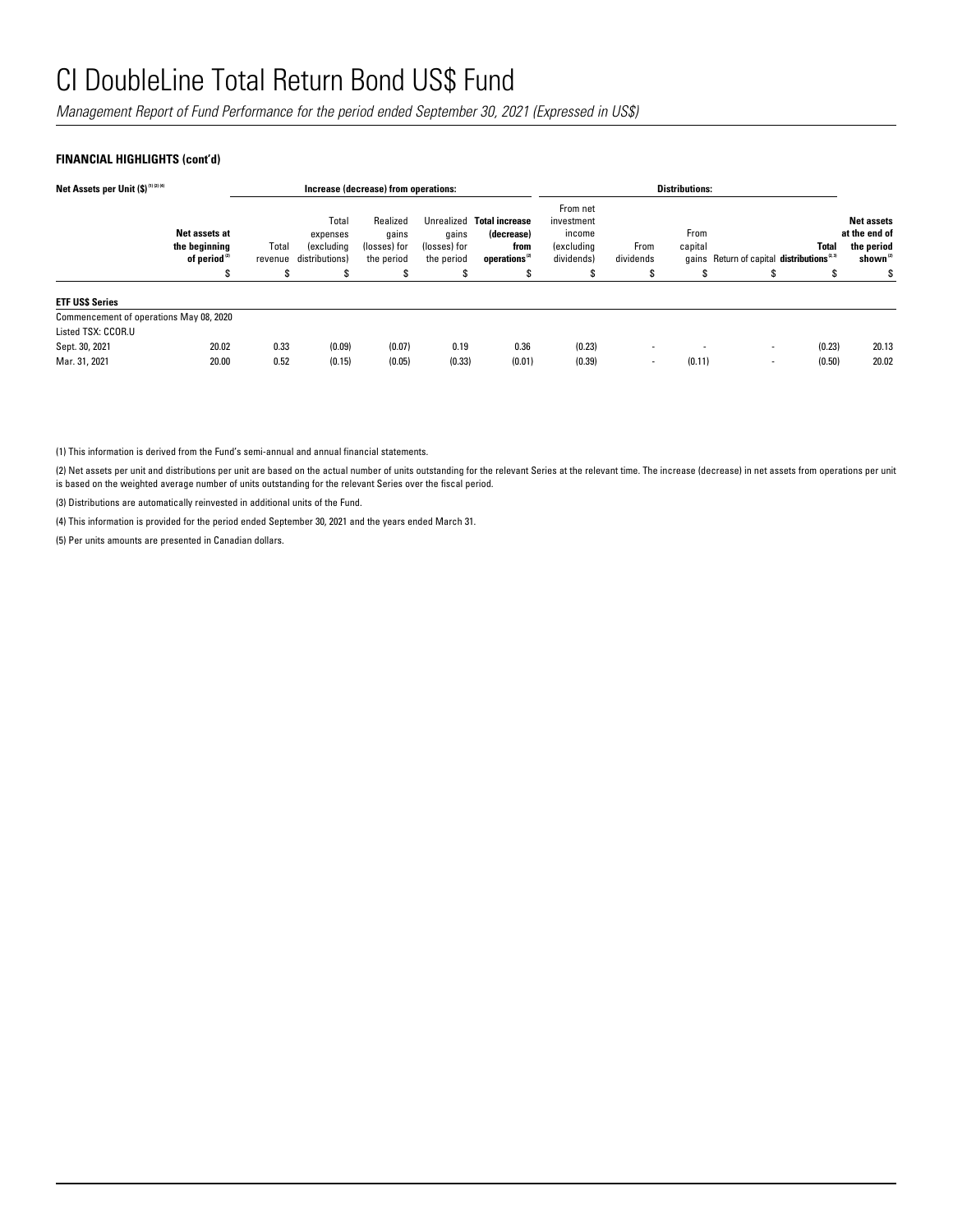*Management Report of Fund Performance for the period ended September 30, 2021 (Expressed in US\$)*

### **FINANCIAL HIGHLIGHTS (cont'd)**

| Net Assets per Unit (\$) (1) (2) (4)    |                                                            |                  | Increase (decrease) from operations:                     |                                                 |                                     | <b>Distributions:</b>                                                        |                                                                     |                   |                 |                                                      |              |                                                                          |
|-----------------------------------------|------------------------------------------------------------|------------------|----------------------------------------------------------|-------------------------------------------------|-------------------------------------|------------------------------------------------------------------------------|---------------------------------------------------------------------|-------------------|-----------------|------------------------------------------------------|--------------|--------------------------------------------------------------------------|
|                                         | Net assets at<br>the beginning<br>of period <sup>(2)</sup> | Total<br>revenue | Total<br>expenses<br><i>(excluding</i><br>distributions) | Realized<br>qains<br>(losses) for<br>the period | qains<br>(losses) for<br>the period | Unrealized Total increase<br>(decrease)<br>from<br>operations <sup>(2)</sup> | From net<br>investment<br>income<br><i>(excluding</i><br>dividends) | From<br>dividends | From<br>capital | gains Return of capital distributions <sup>2,3</sup> | <b>Total</b> | <b>Net assets</b><br>at the end of<br>the period<br>shown <sup>(2)</sup> |
|                                         |                                                            | S                | S                                                        | ъ.                                              | S                                   | S                                                                            |                                                                     |                   | \$              | ъ                                                    |              | S                                                                        |
| <b>ETF USS Series</b>                   |                                                            |                  |                                                          |                                                 |                                     |                                                                              |                                                                     |                   |                 |                                                      |              |                                                                          |
| Commencement of operations May 08, 2020 |                                                            |                  |                                                          |                                                 |                                     |                                                                              |                                                                     |                   |                 |                                                      |              |                                                                          |
| Listed TSX: CCOR.U                      |                                                            |                  |                                                          |                                                 |                                     |                                                                              |                                                                     |                   |                 |                                                      |              |                                                                          |
| Sept. 30, 2021                          | 20.02                                                      | 0.33             | (0.09)                                                   | (0.07)                                          | 0.19                                | 0.36                                                                         | (0.23)                                                              | ۰                 |                 | $\overline{\phantom{a}}$                             | (0.23)       | 20.13                                                                    |
| Mar. 31, 2021                           | 20.00                                                      | 0.52             | (0.15)                                                   | (0.05)                                          | (0.33)                              | (0.01)                                                                       | (0.39)                                                              | ۰                 | (0.11)          | $\blacksquare$                                       | (0.50)       | 20.02                                                                    |

(1) This information is derived from the Fund's semi-annual and annual financial statements.

(2) Net assets per unit and distributions per unit are based on the actual number of units outstanding for the relevant Series at the relevant time. The increase (decrease) in net assets from operations per unit is based on the weighted average number of units outstanding for the relevant Series over the fiscal period.

(3) Distributions are automatically reinvested in additional units of the Fund.

(4) This information is provided for the period ended September 30, 2021 and the years ended March 31.

(5) Per units amounts are presented in Canadian dollars.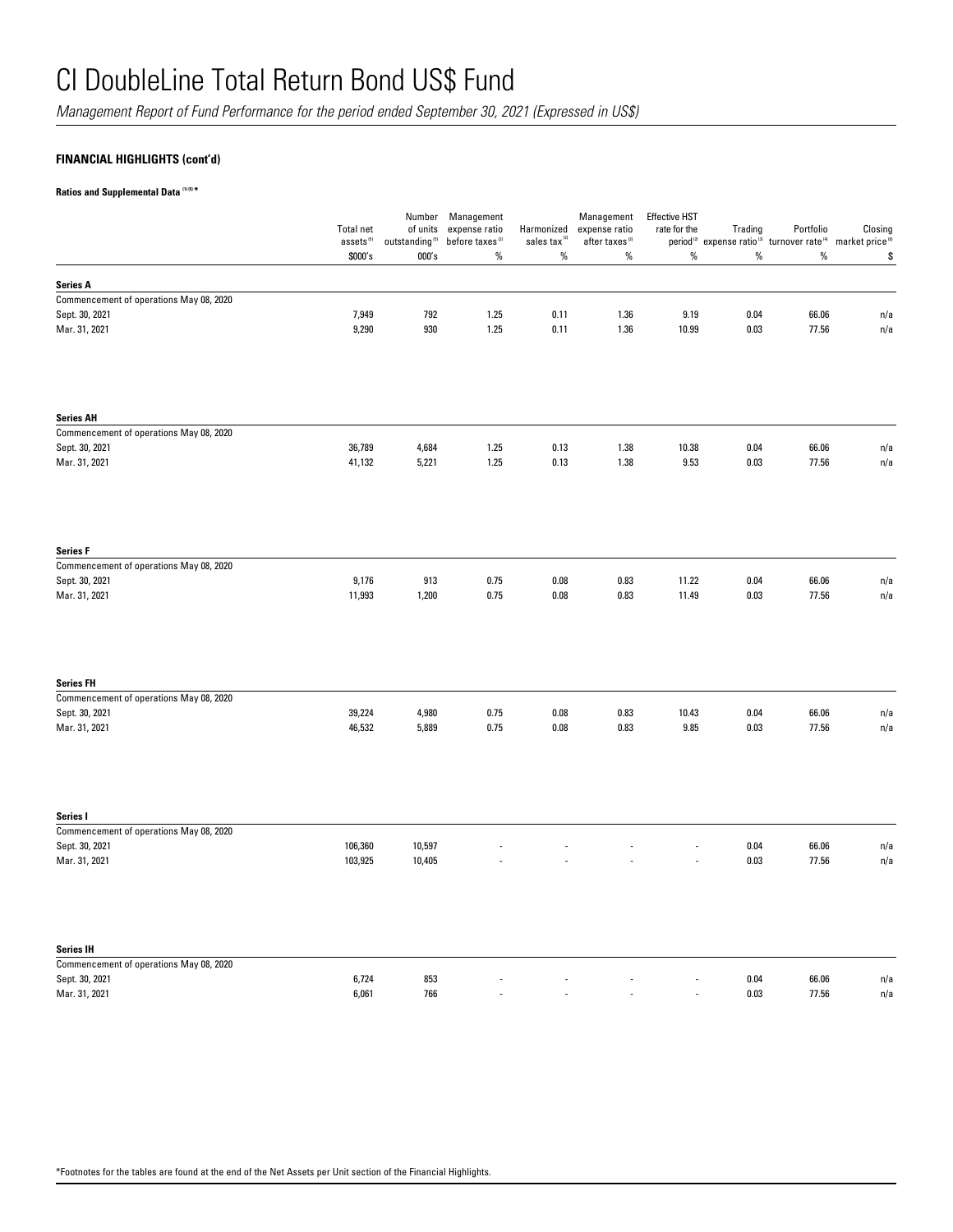*Management Report of Fund Performance for the period ended September 30, 2021 (Expressed in US\$)*

## **FINANCIAL HIGHLIGHTS (cont'd)**

**Ratios and Supplemental Data (1) (5) \***

|                                         | <b>Total net</b><br>assets <sup>(5)</sup><br>\$000's | Number<br>of units<br>outstanding <sup>(5)</sup><br>000's | Management<br>expense ratio<br>before taxes <sup>(2)</sup><br>$\%$ | Harmonized<br>sales tax<br>$\%$ | Management<br>expense ratio<br>after taxes $^{(2)}$<br>$\%$ | <b>Effective HST</b><br>rate for the<br>$\%$ | Trading<br>$\%$ | Portfolio<br>period <sup>(2)</sup> expense ratio <sup>(3)</sup> turnover rate <sup>(4)</sup> market price <sup>(6)</sup><br>$\%$ | Closing<br>\$ |
|-----------------------------------------|------------------------------------------------------|-----------------------------------------------------------|--------------------------------------------------------------------|---------------------------------|-------------------------------------------------------------|----------------------------------------------|-----------------|----------------------------------------------------------------------------------------------------------------------------------|---------------|
| <b>Series A</b>                         |                                                      |                                                           |                                                                    |                                 |                                                             |                                              |                 |                                                                                                                                  |               |
| Commencement of operations May 08, 2020 |                                                      |                                                           |                                                                    |                                 |                                                             |                                              |                 |                                                                                                                                  |               |
| Sept. 30, 2021                          | 7,949                                                | 792                                                       | 1.25                                                               | 0.11                            | 1.36                                                        | 9.19                                         | 0.04            | 66.06                                                                                                                            | n/a           |
| Mar. 31, 2021                           | 9,290                                                | 930                                                       | 1.25                                                               | 0.11                            | 1.36                                                        | 10.99                                        | 0.03            | 77.56                                                                                                                            | n/a           |
| <b>Series AH</b>                        |                                                      |                                                           |                                                                    |                                 |                                                             |                                              |                 |                                                                                                                                  |               |
| Commencement of operations May 08, 2020 |                                                      |                                                           |                                                                    |                                 |                                                             |                                              |                 |                                                                                                                                  |               |
| Sept. 30, 2021<br>Mar. 31, 2021         | 36,789<br>41,132                                     | 4,684<br>5,221                                            | 1.25<br>1.25                                                       | 0.13<br>0.13                    | 1.38<br>1.38                                                | 10.38<br>9.53                                | 0.04<br>0.03    | 66.06<br>77.56                                                                                                                   | n/a<br>n/a    |
| <b>Series F</b>                         |                                                      |                                                           |                                                                    |                                 |                                                             |                                              |                 |                                                                                                                                  |               |
| Commencement of operations May 08, 2020 |                                                      |                                                           |                                                                    |                                 |                                                             |                                              |                 |                                                                                                                                  |               |
| Sept. 30, 2021<br>Mar. 31, 2021         | 9,176<br>11,993                                      | 913<br>1,200                                              | 0.75<br>0.75                                                       | 0.08<br>0.08                    | 0.83<br>0.83                                                | 11.22<br>11.49                               | 0.04<br>0.03    | 66.06<br>77.56                                                                                                                   | n/a<br>n/a    |
|                                         |                                                      |                                                           |                                                                    |                                 |                                                             |                                              |                 |                                                                                                                                  |               |
| <b>Series FH</b>                        |                                                      |                                                           |                                                                    |                                 |                                                             |                                              |                 |                                                                                                                                  |               |
| Commencement of operations May 08, 2020 |                                                      |                                                           |                                                                    |                                 |                                                             |                                              |                 |                                                                                                                                  |               |
| Sept. 30, 2021<br>Mar. 31, 2021         | 39,224<br>46,532                                     | 4,980<br>5,889                                            | 0.75<br>0.75                                                       | $0.08\,$<br>0.08                | 0.83<br>0.83                                                | 10.43<br>9.85                                | 0.04<br>0.03    | 66.06<br>77.56                                                                                                                   | n/a<br>n/a    |
| Series I                                |                                                      |                                                           |                                                                    |                                 |                                                             |                                              |                 |                                                                                                                                  |               |
| Commencement of operations May 08, 2020 |                                                      |                                                           |                                                                    |                                 |                                                             |                                              |                 |                                                                                                                                  |               |
| Sept. 30, 2021                          | 106,360                                              | 10,597                                                    |                                                                    |                                 |                                                             |                                              | 0.04            | 66.06                                                                                                                            | n/a           |
| Mar. 31, 2021                           | 103,925                                              | 10,405                                                    |                                                                    |                                 |                                                             |                                              | 0.03            | 77.56                                                                                                                            | n/a           |
| <b>Series IH</b>                        |                                                      |                                                           |                                                                    |                                 |                                                             |                                              |                 |                                                                                                                                  |               |
| Commencement of operations May 08, 2020 |                                                      |                                                           |                                                                    |                                 |                                                             |                                              |                 |                                                                                                                                  |               |
| Sept. 30, 2021                          | 6,724                                                | 853<br>766                                                |                                                                    |                                 |                                                             |                                              | 0.04<br>0.03    | 66.06<br>77.56                                                                                                                   | n/a           |
| Mar. 31, 2021                           | 6,061                                                |                                                           |                                                                    |                                 |                                                             |                                              |                 |                                                                                                                                  | n/a           |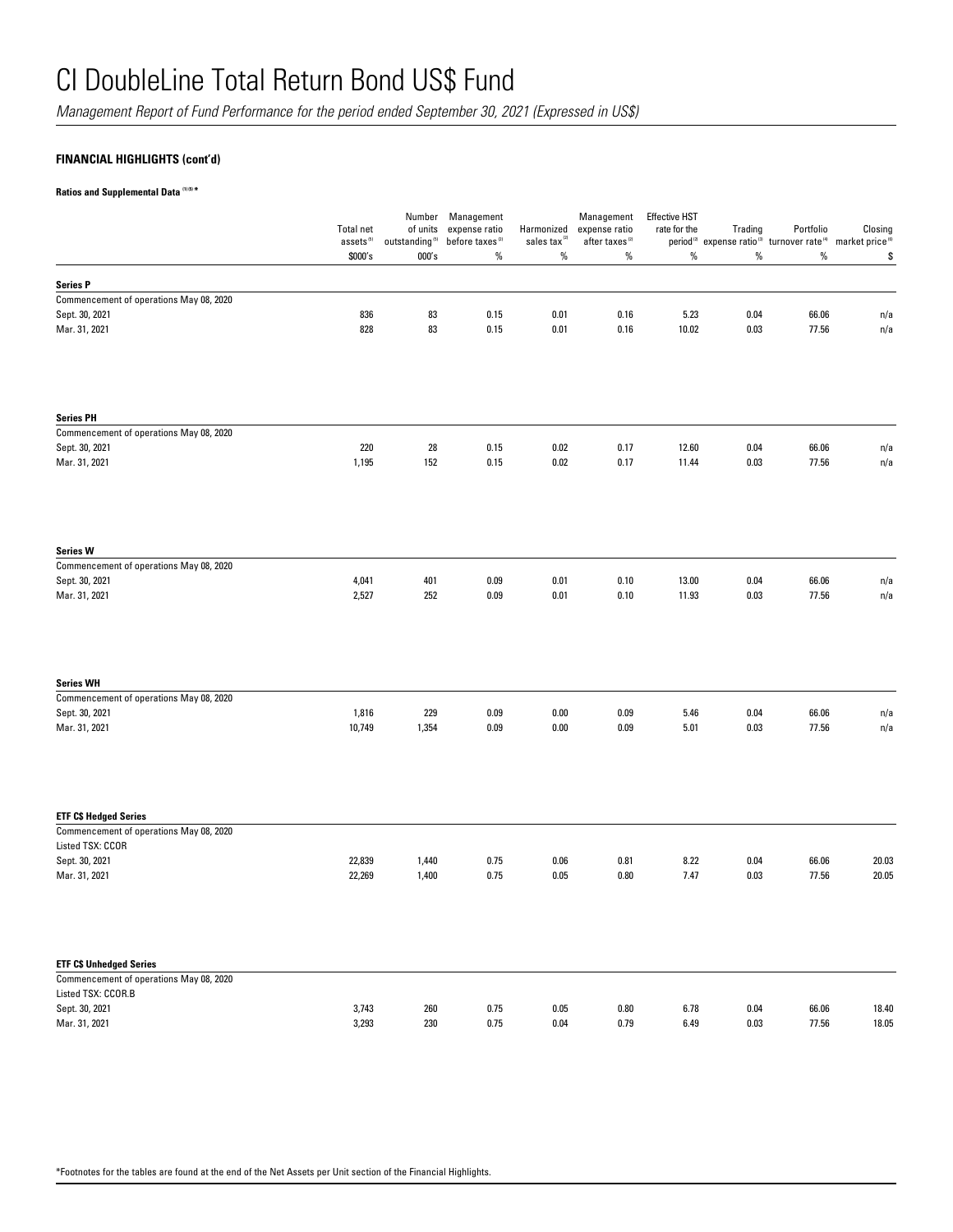*Management Report of Fund Performance for the period ended September 30, 2021 (Expressed in US\$)*

## **FINANCIAL HIGHLIGHTS (cont'd)**

**Ratios and Supplemental Data (1) (5) \***

|                                                               | <b>Total net</b>      | of units             | Number Management                            |                                        | Management                                  | <b>Effective HST</b><br>rate for the |                                                                                                                        | Portfolio      | Closing    |
|---------------------------------------------------------------|-----------------------|----------------------|----------------------------------------------|----------------------------------------|---------------------------------------------|--------------------------------------|------------------------------------------------------------------------------------------------------------------------|----------------|------------|
|                                                               | assets <sup>(5)</sup> | outstanding $^{(5)}$ | expense ratio<br>before taxes <sup>(2)</sup> | Harmonized<br>sales tax <sup>(2)</sup> | expense ratio<br>after taxes <sup>(2)</sup> |                                      | Trading<br>period <sup>(2)</sup> expense ratio <sup>(3)</sup> turnover rate <sup>(4)</sup> market price <sup>(6)</sup> |                |            |
|                                                               | \$000's               | 000's                | $\%$                                         | $\%$                                   | $\%$                                        | $\%$                                 | %                                                                                                                      | $\%$           | \$         |
| <b>Series P</b>                                               |                       |                      |                                              |                                        |                                             |                                      |                                                                                                                        |                |            |
| Commencement of operations May 08, 2020                       |                       |                      |                                              |                                        |                                             |                                      |                                                                                                                        |                |            |
| Sept. 30, 2021                                                | 836                   | 83                   | 0.15                                         | 0.01                                   | 0.16                                        | 5.23                                 | 0.04                                                                                                                   | 66.06          | n/a        |
| Mar. 31, 2021                                                 | 828                   | 83                   | 0.15                                         | 0.01                                   | 0.16                                        | 10.02                                | 0.03                                                                                                                   | 77.56          | n/a        |
| <b>Series PH</b>                                              |                       |                      |                                              |                                        |                                             |                                      |                                                                                                                        |                |            |
| Commencement of operations May 08, 2020                       |                       |                      |                                              |                                        |                                             |                                      |                                                                                                                        |                |            |
| Sept. 30, 2021<br>Mar. 31, 2021                               | 220<br>1,195          | ${\bf 28}$<br>152    | 0.15<br>0.15                                 | 0.02<br>0.02                           | 0.17<br>0.17                                | 12.60<br>11.44                       | 0.04<br>0.03                                                                                                           | 66.06<br>77.56 | n/a<br>n/a |
|                                                               |                       |                      |                                              |                                        |                                             |                                      |                                                                                                                        |                |            |
| <b>Series W</b>                                               |                       |                      |                                              |                                        |                                             |                                      |                                                                                                                        |                |            |
| Commencement of operations May 08, 2020                       |                       |                      |                                              |                                        |                                             |                                      |                                                                                                                        |                |            |
| Sept. 30, 2021                                                | 4,041                 | 401                  | 0.09                                         | 0.01                                   | 0.10                                        | 13.00                                | 0.04                                                                                                                   | 66.06          | n/a        |
| Mar. 31, 2021                                                 | 2,527                 | 252                  | 0.09                                         | 0.01                                   | 0.10                                        | 11.93                                | 0.03                                                                                                                   | 77.56          | n/a        |
| <b>Series WH</b>                                              |                       |                      |                                              |                                        |                                             |                                      |                                                                                                                        |                |            |
| Commencement of operations May 08, 2020                       |                       |                      |                                              |                                        |                                             |                                      |                                                                                                                        |                |            |
| Sept. 30, 2021                                                | 1,816                 | 229                  | 0.09                                         | 0.00                                   | 0.09                                        | 5.46                                 | 0.04                                                                                                                   | 66.06          | n/a        |
| Mar. 31, 2021                                                 | 10,749                | 1,354                | 0.09                                         | 0.00                                   | 0.09                                        | 5.01                                 | 0.03                                                                                                                   | 77.56          | n/a        |
| <b>ETF C\$ Hedged Series</b>                                  |                       |                      |                                              |                                        |                                             |                                      |                                                                                                                        |                |            |
| Commencement of operations May 08, 2020<br>Listed TSX: CCOR   |                       |                      |                                              |                                        |                                             |                                      |                                                                                                                        |                |            |
| Sept. 30, 2021                                                | 22,839                | 1,440                | 0.75                                         | 0.06                                   | 0.81                                        | 8.22                                 | 0.04                                                                                                                   | 66.06          | 20.03      |
| Mar. 31, 2021                                                 | 22,269                | 1,400                | 0.75                                         | 0.05                                   | 0.80                                        | 7.47                                 | 0.03                                                                                                                   | 77.56          | 20.05      |
| <b>ETF C\$ Unhedged Series</b>                                |                       |                      |                                              |                                        |                                             |                                      |                                                                                                                        |                |            |
| Commencement of operations May 08, 2020<br>Listed TSX: CCOR.B |                       |                      |                                              |                                        |                                             |                                      |                                                                                                                        |                |            |
| Sept. 30, 2021                                                | 3,743                 | 260                  | 0.75                                         | 0.05                                   | 0.80                                        | 6.78                                 | 0.04                                                                                                                   | 66.06          | 18.40      |
| Mar. 31, 2021                                                 | 3,293                 | 230                  | 0.75                                         | 0.04                                   | 0.79                                        | 6.49                                 | 0.03                                                                                                                   | 77.56          | 18.05      |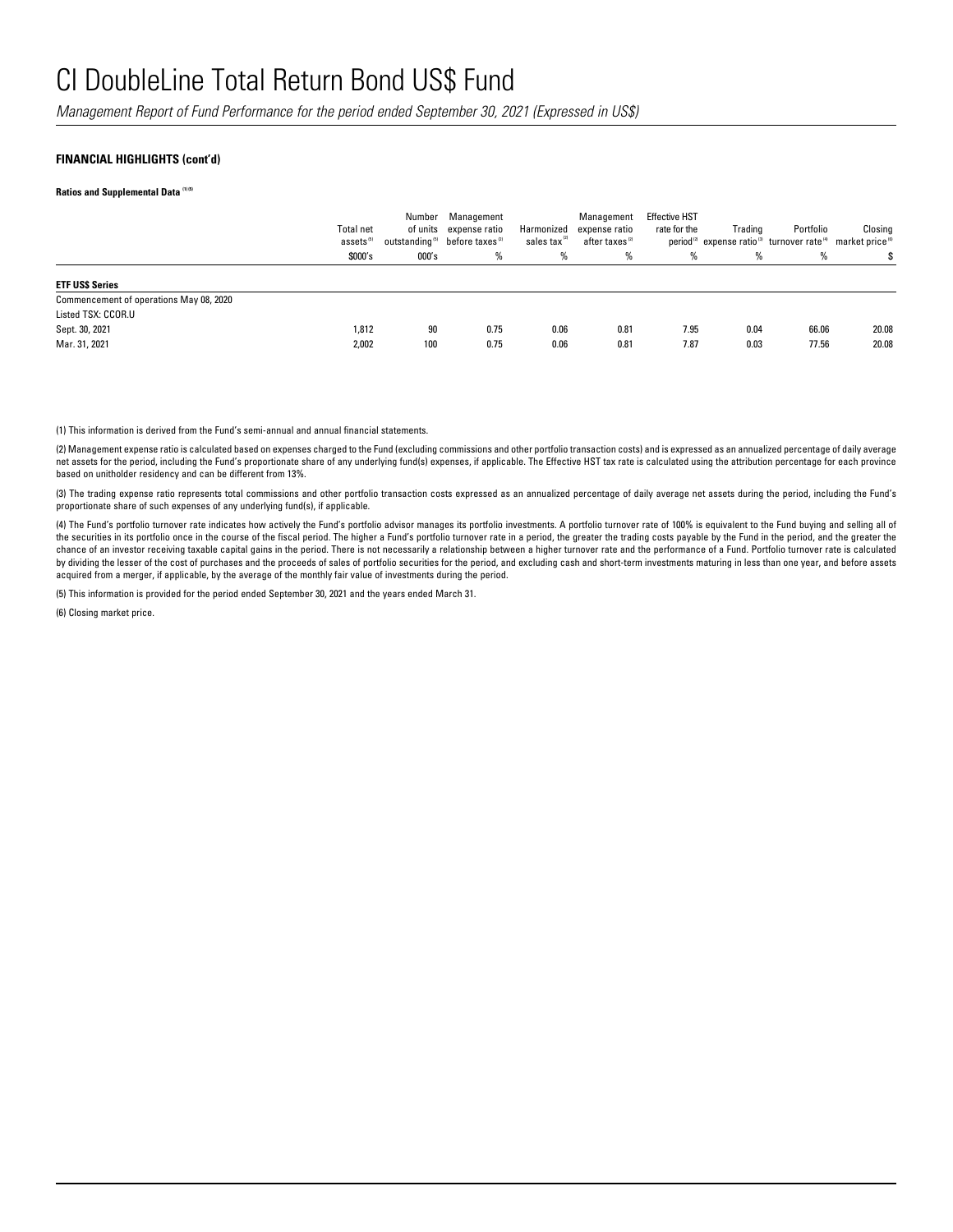*Management Report of Fund Performance for the period ended September 30, 2021 (Expressed in US\$)*

### **FINANCIAL HIGHLIGHTS (cont'd)**

**Ratios and Supplemental Data (1) (5)** 

|                                                                                 | <b>Total net</b><br>assets <sup>(5)</sup><br>\$000's | Number<br>000's | Management<br>of units expense ratio<br>outstanding <sup>5</sup> before taxes <sup>(2)</sup><br>% | Harmonized<br>sales tax <sup>27</sup><br>% | Management<br>expense ratio<br>after taxes <sup>(2)</sup><br>% | <b>Effective HST</b><br>rate for the<br>% | Trading<br>% | Portfolio<br>period <sup>12</sup> expense ratio <sup>13</sup> turnover rate <sup>14</sup> market price <sup>16</sup><br>% | Closing |
|---------------------------------------------------------------------------------|------------------------------------------------------|-----------------|---------------------------------------------------------------------------------------------------|--------------------------------------------|----------------------------------------------------------------|-------------------------------------------|--------------|---------------------------------------------------------------------------------------------------------------------------|---------|
| <b>ETF USS Series</b>                                                           |                                                      |                 |                                                                                                   |                                            |                                                                |                                           |              |                                                                                                                           |         |
| Commencement of operations May 08, 2020<br>Listed TSX: CCOR.U<br>Sept. 30, 2021 | 1,812                                                | 90              | 0.75                                                                                              | 0.06                                       | 0.81                                                           | 7.95                                      | 0.04         | 66.06                                                                                                                     | 20.08   |
| Mar. 31, 2021                                                                   | 2,002                                                | 100             | 0.75                                                                                              | 0.06                                       | 0.81                                                           | 7.87                                      | 0.03         | 77.56                                                                                                                     | 20.08   |

(1) This information is derived from the Fund's semi-annual and annual financial statements.

(2) Management expense ratio is calculated based on expenses charged to the Fund (excluding commissions and other portfolio transaction costs) and is expressed as an annualized percentage of daily average net assets for the period, including the Fund's proportionate share of any underlying fund(s) expenses, if applicable. The Effective HST tax rate is calculated using the attribution percentage for each province based on unitholder residency and can be different from 13%.

(3) The trading expense ratio represents total commissions and other portfolio transaction costs expressed as an annualized percentage of daily average net assets during the period, including the Fund's proportionate share of such expenses of any underlying fund(s), if applicable.

(4) The Fund's portfolio turnover rate indicates how actively the Fund's portfolio advisor manages its portfolio investments. A portfolio turnover rate of 100% is equivalent to the Fund buying and selling all of the securities in its portfolio once in the course of the fiscal period. The higher a Fund's portfolio turnover rate in a period, the greater the trading costs payable by the Fund in the period, and the greater the chance of an investor receiving taxable capital gains in the period. There is not necessarily a relationship between a higher turnover rate and the performance of a Fund. Portfolio turnover rate is calculated by dividing the lesser of the cost of purchases and the proceeds of sales of portfolio securities for the period, and excluding cash and short-term investments maturing in less than one year, and before assets acquired from a merger, if applicable, by the average of the monthly fair value of investments during the period.

(5) This information is provided for the period ended September 30, 2021 and the years ended March 31.

(6) Closing market price.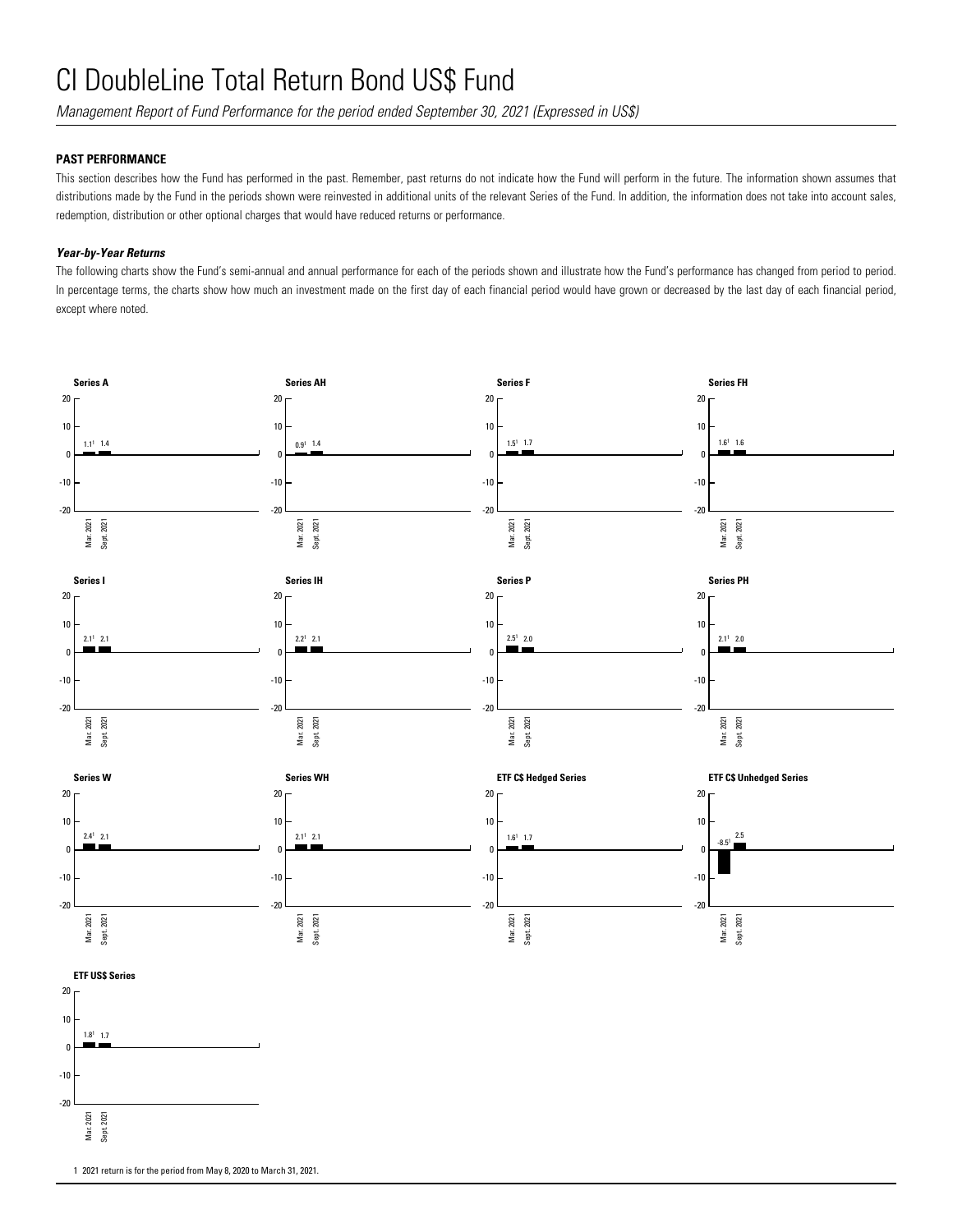*Management Report of Fund Performance for the period ended September 30, 2021 (Expressed in US\$)*

### **PAST PERFORMANCE**

This section describes how the Fund has performed in the past. Remember, past returns do not indicate how the Fund will perform in the future. The information shown assumes that distributions made by the Fund in the periods shown were reinvested in additional units of the relevant Series of the Fund. In addition, the information does not take into account sales, redemption, distribution or other optional charges that would have reduced returns or performance.

### *Year-by-Year Returns*

The following charts show the Fund's semi-annual and annual performance for each of the periods shown and illustrate how the Fund's performance has changed from period to period. In percentage terms, the charts show how much an investment made on the first day of each financial period would have grown or decreased by the last day of each financial period, except where noted.